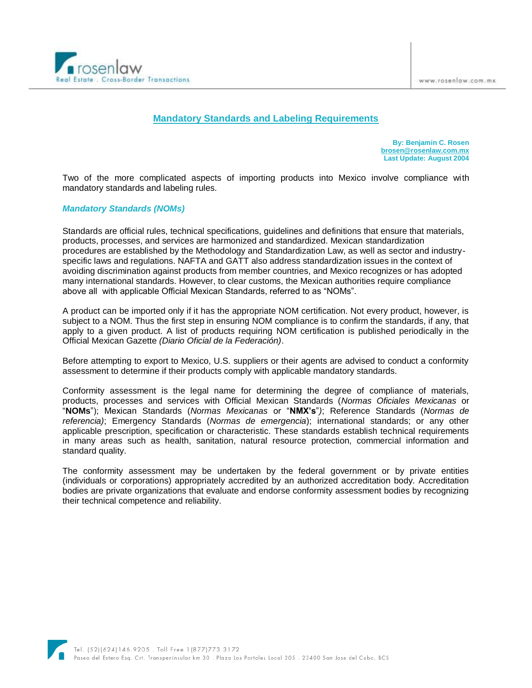

# **Mandatory Standards and Labeling Requirements**

**By: Benjamin C. Rosen [brosen@rosenlaw.com.mx](mailto:brosen@rosenlaw.com.mx) Last Update: August 2004**

Two of the more complicated aspects of importing products into Mexico involve compliance with mandatory standards and labeling rules.

#### *Mandatory Standards (NOMs)*

Standards are official rules, technical specifications, guidelines and definitions that ensure that materials, products, processes, and services are harmonized and standardized. Mexican standardization procedures are established by the Methodology and Standardization Law, as well as sector and industryspecific laws and regulations. NAFTA and GATT also address standardization issues in the context of avoiding discrimination against products from member countries, and Mexico recognizes or has adopted many international standards. However, to clear customs, the Mexican authorities require compliance above all with applicable Official Mexican Standards, referred to as "NOMs".

A product can be imported only if it has the appropriate NOM certification. Not every product, however, is subject to a NOM. Thus the first step in ensuring NOM compliance is to confirm the standards, if any, that apply to a given product. A list of products requiring NOM certification is published periodically in the Official Mexican Gazette *(Diario Oficial de la Federación)*.

Before attempting to export to Mexico, U.S. suppliers or their agents are advised to conduct a conformity assessment to determine if their products comply with applicable mandatory standards.

Conformity assessment is the legal name for determining the degree of compliance of materials, products, processes and services with Official Mexican Standards (*Normas Oficiales Mexicanas* or "**NOMs**"); Mexican Standards (*Normas Mexicanas* or "**NMX's**"*)*; Reference Standards (*Normas de referencia)*; Emergency Standards (*Normas de emergencia*); international standards; or any other applicable prescription, specification or characteristic. These standards establish technical requirements in many areas such as health, sanitation, natural resource protection, commercial information and standard quality.

The conformity assessment may be undertaken by the federal government or by private entities (individuals or corporations) appropriately accredited by an authorized accreditation body. Accreditation bodies are private organizations that evaluate and endorse conformity assessment bodies by recognizing their technical competence and reliability.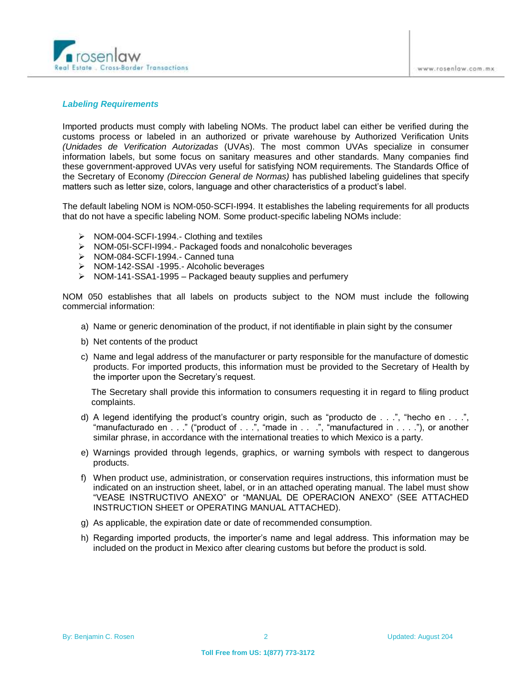

#### *Labeling Requirements*

Imported products must comply with labeling NOMs. The product label can either be verified during the customs process or labeled in an authorized or private warehouse by Authorized Verification Units *(Unidades de Verification Autorizadas* (UVAs). The most common UVAs specialize in consumer information labels, but some focus on sanitary measures and other standards. Many companies find these government-approved UVAs very useful for satisfying NOM requirements. The Standards Office of the Secretary of Economy *(Direccion General de Normas)* has published labeling guidelines that specify matters such as letter size, colors, language and other characteristics of a product's label.

The default labeling NOM is NOM-050-SCFI-I994. It establishes the labeling requirements for all products that do not have a specific labeling NOM. Some product-specific labeling NOMs include:

- $\triangleright$  NOM-004-SCFI-1994.- Clothing and textiles
- ▶ NOM-05I-SCFI-I994.- Packaged foods and nonalcoholic beverages
- > NOM-084-SCFI-1994.- Canned tuna
- ▶ NOM-142-SSAI -1995.- Alcoholic beverages
- $\triangleright$  NOM-141-SSA1-1995 Packaged beauty supplies and perfumery

NOM 050 establishes that all labels on products subject to the NOM must include the following commercial information:

- a) Name or generic denomination of the product, if not identifiable in plain sight by the consumer
- b) Net contents of the product
- c) Name and legal address of the manufacturer or party responsible for the manufacture of domestic products. For imported products, this information must be provided to the Secretary of Health by the importer upon the Secretary's request.

The Secretary shall provide this information to consumers requesting it in regard to filing product complaints.

- d) A legend identifying the product's country origin, such as "producto de . . .", "hecho en . . .", "manufacturado en . . ." ("product of . . .", "made in . . .", "manufactured in . . . ."), or another similar phrase, in accordance with the international treaties to which Mexico is a party.
- e) Warnings provided through legends, graphics, or warning symbols with respect to dangerous products.
- f) When product use, administration, or conservation requires instructions, this information must be indicated on an instruction sheet, label, or in an attached operating manual. The label must show "VEASE INSTRUCTIVO ANEXO" or "MANUAL DE OPERACION ANEXO" (SEE ATTACHED INSTRUCTION SHEET or OPERATING MANUAL ATTACHED).
- g) As applicable, the expiration date or date of recommended consumption.
- h) Regarding imported products, the importer's name and legal address. This information may be included on the product in Mexico after clearing customs but before the product is sold.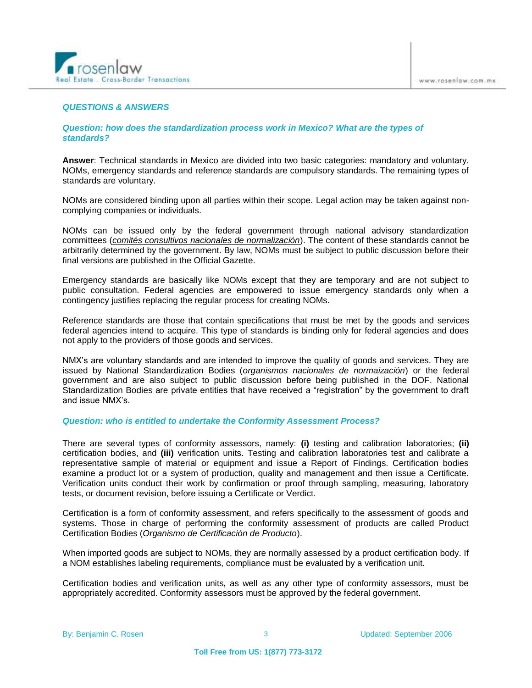

# *QUESTIONS & ANSWERS*

# *Question: how does the standardization process work in Mexico? What are the types of standards?*

**Answer**: Technical standards in Mexico are divided into two basic categories: mandatory and voluntary. NOMs, emergency standards and reference standards are compulsory standards. The remaining types of standards are voluntary.

NOMs are considered binding upon all parties within their scope. Legal action may be taken against noncomplying companies or individuals.

NOMs can be issued only by the federal government through national advisory standardization committees (*comités consultivos nacionales de normalización*). The content of these standards cannot be arbitrarily determined by the government. By law, NOMs must be subject to public discussion before their final versions are published in the Official Gazette.

Emergency standards are basically like NOMs except that they are temporary and are not subject to public consultation. Federal agencies are empowered to issue emergency standards only when a contingency justifies replacing the regular process for creating NOMs.

Reference standards are those that contain specifications that must be met by the goods and services federal agencies intend to acquire. This type of standards is binding only for federal agencies and does not apply to the providers of those goods and services.

NMX's are voluntary standards and are intended to improve the quality of goods and services. They are issued by National Standardization Bodies (*organismos nacionales de normaización*) or the federal government and are also subject to public discussion before being published in the DOF. National Standardization Bodies are private entities that have received a "registration" by the government to draft and issue NMX's.

# *Question: who is entitled to undertake the Conformity Assessment Process?*

There are several types of conformity assessors, namely: **(i)** testing and calibration laboratories; **(ii)**  certification bodies, and **(iii)** verification units. Testing and calibration laboratories test and calibrate a representative sample of material or equipment and issue a Report of Findings. Certification bodies examine a product lot or a system of production, quality and management and then issue a Certificate. Verification units conduct their work by confirmation or proof through sampling, measuring, laboratory tests, or document revision, before issuing a Certificate or Verdict.

Certification is a form of conformity assessment, and refers specifically to the assessment of goods and systems. Those in charge of performing the conformity assessment of products are called Product Certification Bodies (*Organismo de Certificación de Producto*).

When imported goods are subject to NOMs, they are normally assessed by a product certification body. If a NOM establishes labeling requirements, compliance must be evaluated by a verification unit.

Certification bodies and verification units, as well as any other type of conformity assessors, must be appropriately accredited. Conformity assessors must be approved by the federal government.